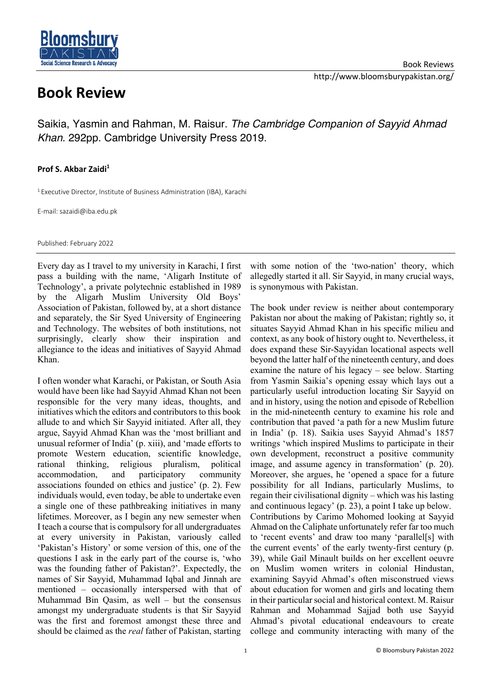

## **Book Review**

Saikia, Yasmin and Rahman, M. Raisur. *The Cambridge Companion of Sayyid Ahmad Khan*. 292pp. Cambridge University Press 2019.

## **Prof S. Akbar Zaidi1**

<sup>1</sup> Executive Director, Institute of Business Administration (IBA), Karachi

E-mail: sazaidi@iba.edu.pk

Published: February 2022

Every day as I travel to my university in Karachi, I first pass a building with the name, 'Aligarh Institute of Technology', a private polytechnic established in 1989 by the Aligarh Muslim University Old Boys' Association of Pakistan, followed by, at a short distance and separately, the Sir Syed University of Engineering and Technology. The websites of both institutions, not surprisingly, clearly show their inspiration and allegiance to the ideas and initiatives of Sayyid Ahmad Khan.

I often wonder what Karachi, or Pakistan, or South Asia would have been like had Sayyid Ahmad Khan not been responsible for the very many ideas, thoughts, and initiatives which the editors and contributors to this book allude to and which Sir Sayyid initiated. After all, they argue, Sayyid Ahmad Khan was the 'most brilliant and unusual reformer of India' (p. xiii), and 'made efforts to promote Western education, scientific knowledge, rational thinking, religious pluralism, political accommodation, and participatory community associations founded on ethics and justice' (p. 2). Few individuals would, even today, be able to undertake even a single one of these pathbreaking initiatives in many lifetimes. Moreover, as I begin any new semester when I teach a course that is compulsory for all undergraduates at every university in Pakistan, variously called 'Pakistan's History' or some version of this, one of the questions I ask in the early part of the course is, 'who was the founding father of Pakistan?'. Expectedly, the names of Sir Sayyid, Muhammad Iqbal and Jinnah are mentioned – occasionally interspersed with that of Muhammad Bin Qasim, as well – but the consensus amongst my undergraduate students is that Sir Sayyid was the first and foremost amongst these three and should be claimed as the *real* father of Pakistan, starting

with some notion of the 'two-nation' theory, which allegedly started it all. Sir Sayyid, in many crucial ways, is synonymous with Pakistan.

The book under review is neither about contemporary Pakistan nor about the making of Pakistan; rightly so, it situates Sayyid Ahmad Khan in his specific milieu and context, as any book of history ought to. Nevertheless, it does expand these Sir-Sayyidan locational aspects well beyond the latter half of the nineteenth century, and does examine the nature of his legacy – see below. Starting from Yasmin Saikia's opening essay which lays out a particularly useful introduction locating Sir Sayyid on and in history, using the notion and episode of Rebellion in the mid-nineteenth century to examine his role and contribution that paved 'a path for a new Muslim future in India' (p. 18). Saikia uses Sayyid Ahmad's 1857 writings 'which inspired Muslims to participate in their own development, reconstruct a positive community image, and assume agency in transformation' (p. 20). Moreover, she argues, he 'opened a space for a future possibility for all Indians, particularly Muslims, to regain their civilisational dignity – which was his lasting and continuous legacy' (p. 23), a point I take up below. Contributions by Carimo Mohomed looking at Sayyid Ahmad on the Caliphate unfortunately refer far too much to 'recent events' and draw too many 'parallel[s] with the current events' of the early twenty-first century (p. 39), while Gail Minault builds on her excellent oeuvre on Muslim women writers in colonial Hindustan, examining Sayyid Ahmad's often misconstrued views about education for women and girls and locating them in their particular social and historical context. M. Raisur Rahman and Mohammad Sajjad both use Sayyid Ahmad's pivotal educational endeavours to create college and community interacting with many of the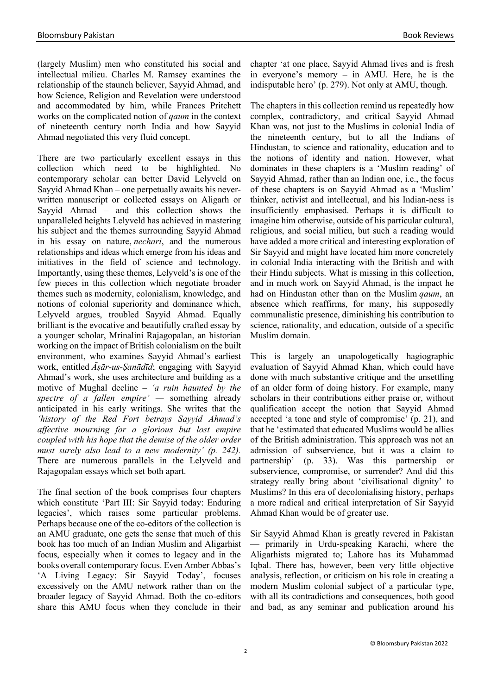(largely Muslim) men who constituted his social and intellectual milieu. Charles M. Ramsey examines the relationship of the staunch believer, Sayyid Ahmad, and how Science, Religion and Revelation were understood and accommodated by him, while Frances Pritchett works on the complicated notion of *qaum* in the context of nineteenth century north India and how Sayyid Ahmad negotiated this very fluid concept.

There are two particularly excellent essays in this collection which need to be highlighted. No contemporary scholar can better David Lelyveld on Sayyid Ahmad Khan – one perpetually awaits his neverwritten manuscript or collected essays on Aligarh or Sayyid Ahmad – and this collection shows the unparalleled heights Lelyveld has achieved in mastering his subject and the themes surrounding Sayyid Ahmad in his essay on nature, *nechari*, and the numerous relationships and ideas which emerge from his ideas and initiatives in the field of science and technology. Importantly, using these themes, Lelyveld's is one of the few pieces in this collection which negotiate broader themes such as modernity, colonialism, knowledge, and notions of colonial superiority and dominance which, Lelyveld argues, troubled Sayyid Ahmad. Equally brilliant is the evocative and beautifully crafted essay by a younger scholar, Mrinalini Rajagopalan, an historian working on the impact of British colonialism on the built environment, who examines Sayyid Ahmad's earliest work, entitled *Āṣār-us-Ṣanādīd*; engaging with Sayyid Ahmad's work, she uses architecture and building as a motive of Mughal decline – *'a ruin haunted by the spectre of a fallen empire' —* something already anticipated in his early writings. She writes that the *'history of the Red Fort betrays Sayyid Ahmad's affective mourning for a glorious but lost empire coupled with his hope that the demise of the older order must surely also lead to a new modernity' (p. 242).* There are numerous parallels in the Lelyveld and Rajagopalan essays which set both apart.

The final section of the book comprises four chapters which constitute 'Part III: Sir Sayyid today: Enduring legacies', which raises some particular problems. Perhaps because one of the co-editors of the collection is an AMU graduate, one gets the sense that much of this book has too much of an Indian Muslim and Aligarhist focus, especially when it comes to legacy and in the books overall contemporary focus. Even Amber Abbas's 'A Living Legacy: Sir Sayyid Today', focuses excessively on the AMU network rather than on the broader legacy of Sayyid Ahmad. Both the co-editors share this AMU focus when they conclude in their

chapter 'at one place, Sayyid Ahmad lives and is fresh in everyone's memory – in AMU. Here, he is the indisputable hero' (p. 279). Not only at AMU, though.

The chapters in this collection remind us repeatedly how complex, contradictory, and critical Sayyid Ahmad Khan was, not just to the Muslims in colonial India of the nineteenth century, but to all the Indians of Hindustan, to science and rationality, education and to the notions of identity and nation. However, what dominates in these chapters is a 'Muslim reading' of Sayyid Ahmad, rather than an Indian one, i.e., the focus of these chapters is on Sayyid Ahmad as a 'Muslim' thinker, activist and intellectual, and his Indian-ness is insufficiently emphasised. Perhaps it is difficult to imagine him otherwise, outside of his particular cultural, religious, and social milieu, but such a reading would have added a more critical and interesting exploration of Sir Sayyid and might have located him more concretely in colonial India interacting with the British and with their Hindu subjects. What is missing in this collection, and in much work on Sayyid Ahmad, is the impact he had on Hindustan other than on the Muslim *qaum*, an absence which reaffirms, for many, his supposedly communalistic presence, diminishing his contribution to science, rationality, and education, outside of a specific Muslim domain.

This is largely an unapologetically hagiographic evaluation of Sayyid Ahmad Khan, which could have done with much substantive critique and the unsettling of an older form of doing history. For example, many scholars in their contributions either praise or, without qualification accept the notion that Sayyid Ahmad accepted 'a tone and style of compromise' (p. 21), and that he 'estimated that educated Muslims would be allies of the British administration. This approach was not an admission of subservience, but it was a claim to partnership' (p. 33). Was this partnership or subservience, compromise, or surrender? And did this strategy really bring about 'civilisational dignity' to Muslims? In this era of decolonialising history, perhaps a more radical and critical interpretation of Sir Sayyid Ahmad Khan would be of greater use.

Sir Sayyid Ahmad Khan is greatly revered in Pakistan — primarily in Urdu-speaking Karachi, where the Aligarhists migrated to; Lahore has its Muhammad Iqbal. There has, however, been very little objective analysis, reflection, or criticism on his role in creating a modern Muslim colonial subject of a particular type, with all its contradictions and consequences, both good and bad, as any seminar and publication around his